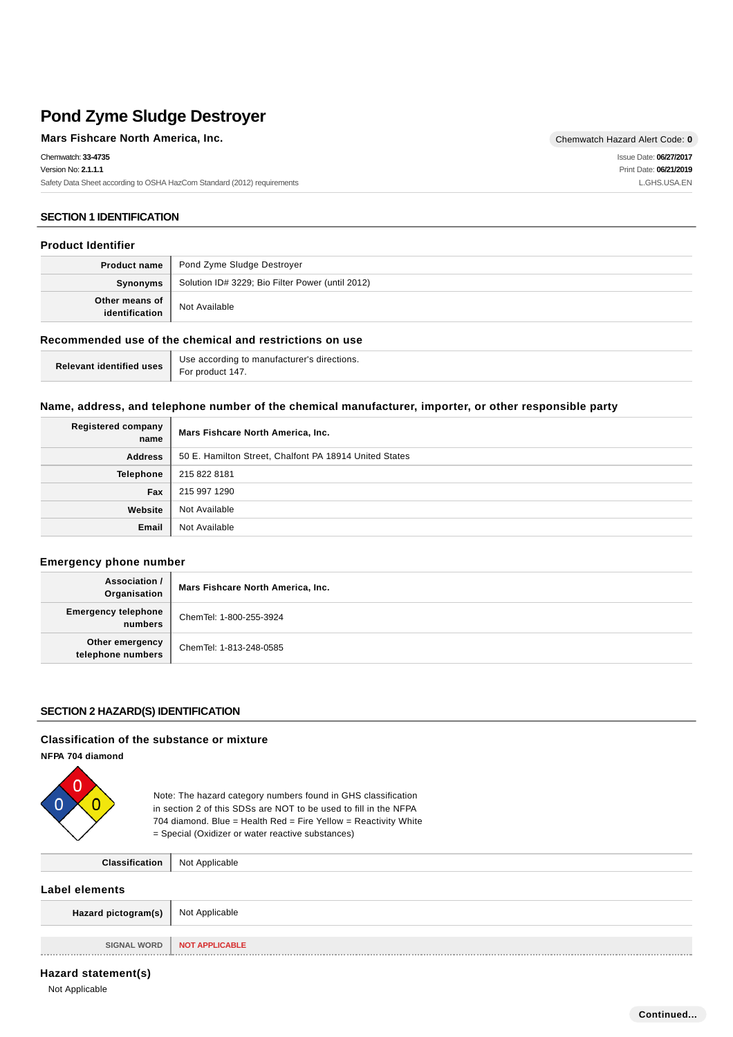#### **Mars Fishcare North America, Inc.** Chemwatch Hazard Alert Code: 0 Chemwatch: **33-4735** Version No: **2.1.1.1** Safety Data Sheet according to OSHA HazCom Standard (2012) requirements Issue Date: **06/27/2017** Print Date: **06/21/2019** L.GHS.USA.EN

# **SECTION 1 IDENTIFICATION**

### **Product Identifier**

|                                  | <b>Product name</b>   Pond Zyme Sludge Destroyer |
|----------------------------------|--------------------------------------------------|
| Synonyms                         | Solution ID# 3229; Bio Filter Power (until 2012) |
| Other means of<br>identification | Not Available                                    |

# **Recommended use of the chemical and restrictions on use**

| Relevant identified uses I | Use according to manufacturer's directions. |
|----------------------------|---------------------------------------------|
|                            | For product 147.                            |

### **Name, address, and telephone number of the chemical manufacturer, importer, or other responsible party**

| <b>Registered company</b><br>name | Mars Fishcare North America, Inc.                      |
|-----------------------------------|--------------------------------------------------------|
| <b>Address</b>                    | 50 E. Hamilton Street, Chalfont PA 18914 United States |
| <b>Telephone</b>                  | 215 822 8181                                           |
| Fax                               | 215 997 1290                                           |
| Website                           | Not Available                                          |
| Email                             | Not Available                                          |

### **Emergency phone number**

| Association /<br>Organisation         | Mars Fishcare North America, Inc. |
|---------------------------------------|-----------------------------------|
| <b>Emergency telephone</b><br>numbers | ChemTel: 1-800-255-3924           |
| Other emergency<br>telephone numbers  | ChemTel: 1-813-248-0585           |

### **SECTION 2 HAZARD(S) IDENTIFICATION**

#### **Classification of the substance or mixture**

**NFPA 704 diamond**



Note: The hazard category numbers found in GHS classification in section 2 of this SDSs are NOT to be used to fill in the NFPA 704 diamond. Blue = Health Red = Fire Yellow = Reactivity White = Special (Oxidizer or water reactive substances)

| Classification              | Not Applicable        |
|-----------------------------|-----------------------|
| Label elements              |                       |
| Hazard pictogram(s) $\vert$ | Not Applicable        |
|                             |                       |
| <b>SIGNAL WORD</b>          | <b>NOT APPLICABLE</b> |

### **Hazard statement(s)**

Not Applicable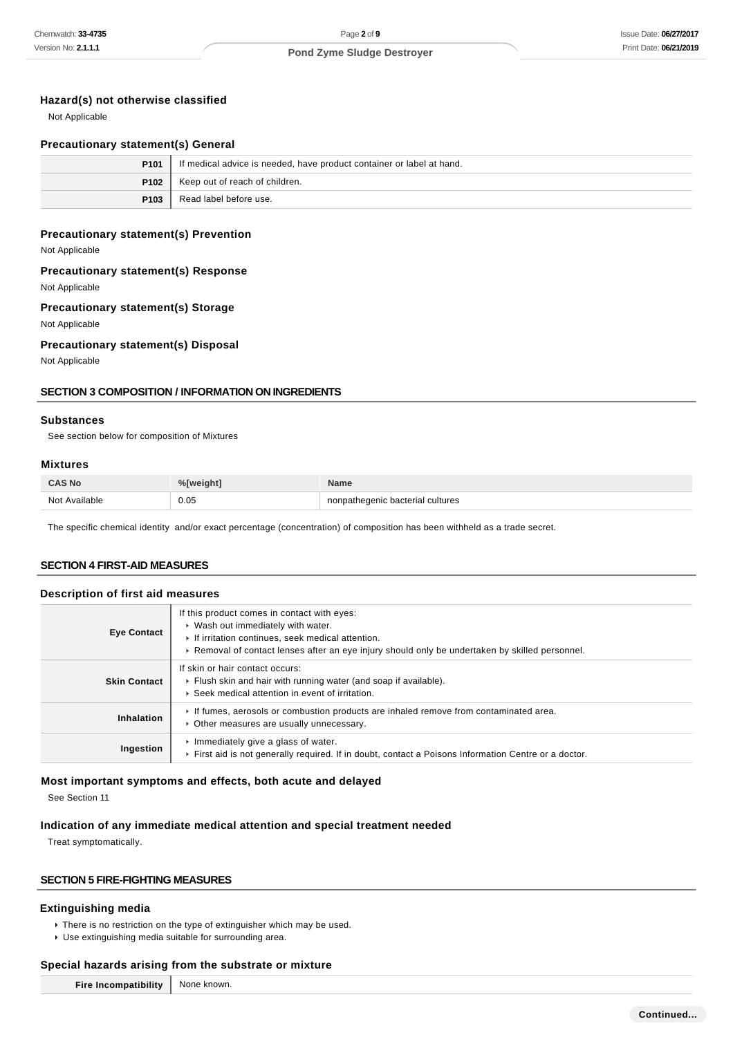# **Hazard(s) not otherwise classified**

Not Applicable

### **Precautionary statement(s) General**

| P <sub>101</sub> | If medical advice is needed, have product container or label at hand. |
|------------------|-----------------------------------------------------------------------|
| P102             | Keep out of reach of children.                                        |
| P103             | Read label before use.                                                |

# **Precautionary statement(s) Prevention**

Not Applicable

### **Precautionary statement(s) Response**

Not Applicable

# **Precautionary statement(s) Storage**

Not Applicable

# **Precautionary statement(s) Disposal**

Not Applicable

### **SECTION 3 COMPOSITION / INFORMATION ON INGREDIENTS**

#### **Substances**

See section below for composition of Mixtures

# **Mixtures**

| <b>CAS No</b>      | <b>Volweight</b> | <b>Name</b>                 |
|--------------------|------------------|-----------------------------|
| Not Available<br>. | 0.05             | heqenic bacterial cultures. |

The specific chemical identity and/or exact percentage (concentration) of composition has been withheld as a trade secret.

# **SECTION 4 FIRST-AID MEASURES**

### **Description of first aid measures**

| <b>Eye Contact</b>  | If this product comes in contact with eyes:<br>▶ Wash out immediately with water.<br>If irritation continues, seek medical attention.<br>► Removal of contact lenses after an eye injury should only be undertaken by skilled personnel. |
|---------------------|------------------------------------------------------------------------------------------------------------------------------------------------------------------------------------------------------------------------------------------|
| <b>Skin Contact</b> | If skin or hair contact occurs:<br>• Flush skin and hair with running water (and soap if available).<br>▶ Seek medical attention in event of irritation.                                                                                 |
| Inhalation          | If fumes, aerosols or combustion products are inhaled remove from contaminated area.<br>• Other measures are usually unnecessary.                                                                                                        |
| Ingestion           | $\cdot$ Immediately give a glass of water.<br>First aid is not generally required. If in doubt, contact a Poisons Information Centre or a doctor.                                                                                        |

### **Most important symptoms and effects, both acute and delayed**

See Section 11

### **Indication of any immediate medical attention and special treatment needed**

Treat symptomatically.

# **SECTION 5 FIRE-FIGHTING MEASURES**

### **Extinguishing media**

- There is no restriction on the type of extinguisher which may be used.
- Use extinguishing media suitable for surrounding area.

# **Special hazards arising from the substrate or mixture**

| Fire Incompatibility   None known. |  |
|------------------------------------|--|
|------------------------------------|--|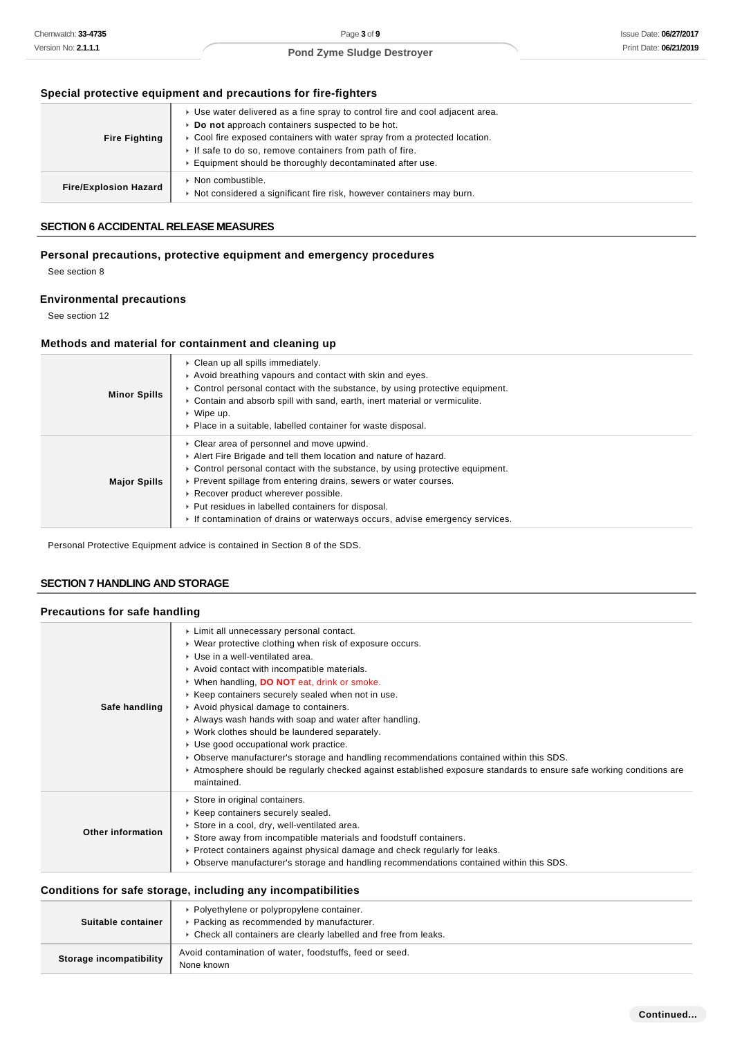# **Special protective equipment and precautions for fire-fighters**

| <b>Fire Fighting</b>         | ► Use water delivered as a fine spray to control fire and cool adjacent area.<br>▶ Do not approach containers suspected to be hot.<br>► Cool fire exposed containers with water spray from a protected location.<br>If safe to do so, remove containers from path of fire.<br>Equipment should be thoroughly decontaminated after use. |
|------------------------------|----------------------------------------------------------------------------------------------------------------------------------------------------------------------------------------------------------------------------------------------------------------------------------------------------------------------------------------|
| <b>Fire/Explosion Hazard</b> | ▶ Non combustible.<br>► Not considered a significant fire risk, however containers may burn.                                                                                                                                                                                                                                           |

# **SECTION 6 ACCIDENTAL RELEASE MEASURES**

# **Personal precautions, protective equipment and emergency procedures**

See section 8

# **Environmental precautions**

See section 12

# **Methods and material for containment and cleaning up**

| <b>Minor Spills</b> | $\triangleright$ Clean up all spills immediately.<br>Avoid breathing vapours and contact with skin and eyes.<br>► Control personal contact with the substance, by using protective equipment.<br>► Contain and absorb spill with sand, earth, inert material or vermiculite.<br>$\cdot$ Wipe up.<br>• Place in a suitable, labelled container for waste disposal.                                                                                             |
|---------------------|---------------------------------------------------------------------------------------------------------------------------------------------------------------------------------------------------------------------------------------------------------------------------------------------------------------------------------------------------------------------------------------------------------------------------------------------------------------|
| <b>Major Spills</b> | Clear area of personnel and move upwind.<br>Alert Fire Brigade and tell them location and nature of hazard.<br>$\triangleright$ Control personal contact with the substance, by using protective equipment.<br>▶ Prevent spillage from entering drains, sewers or water courses.<br>▶ Recover product wherever possible.<br>▶ Put residues in labelled containers for disposal.<br>If contamination of drains or waterways occurs, advise emergency services. |

Personal Protective Equipment advice is contained in Section 8 of the SDS.

### **SECTION 7 HANDLING AND STORAGE**

# **Precautions for safe handling**

| Safe handling            | Limit all unnecessary personal contact.<br>▶ Wear protective clothing when risk of exposure occurs.<br>▶ Use in a well-ventilated area.<br>Avoid contact with incompatible materials.<br>▶ When handling, DO NOT eat, drink or smoke.<br>▶ Keep containers securely sealed when not in use.<br>Avoid physical damage to containers.<br>Always wash hands with soap and water after handling.<br>• Work clothes should be laundered separately.<br>Use good occupational work practice.<br>► Observe manufacturer's storage and handling recommendations contained within this SDS.<br>► Atmosphere should be regularly checked against established exposure standards to ensure safe working conditions are<br>maintained. |
|--------------------------|----------------------------------------------------------------------------------------------------------------------------------------------------------------------------------------------------------------------------------------------------------------------------------------------------------------------------------------------------------------------------------------------------------------------------------------------------------------------------------------------------------------------------------------------------------------------------------------------------------------------------------------------------------------------------------------------------------------------------|
| <b>Other information</b> | Store in original containers.<br>▶ Keep containers securely sealed.<br>Store in a cool, dry, well-ventilated area.<br>Store away from incompatible materials and foodstuff containers.<br>► Protect containers against physical damage and check regularly for leaks.<br>► Observe manufacturer's storage and handling recommendations contained within this SDS.                                                                                                                                                                                                                                                                                                                                                          |

# **Conditions for safe storage, including any incompatibilities**

| Suitable container      | • Polyethylene or polypropylene container.<br>▶ Packing as recommended by manufacturer.<br>• Check all containers are clearly labelled and free from leaks. |
|-------------------------|-------------------------------------------------------------------------------------------------------------------------------------------------------------|
| Storage incompatibility | Avoid contamination of water, foodstuffs, feed or seed.<br>None known                                                                                       |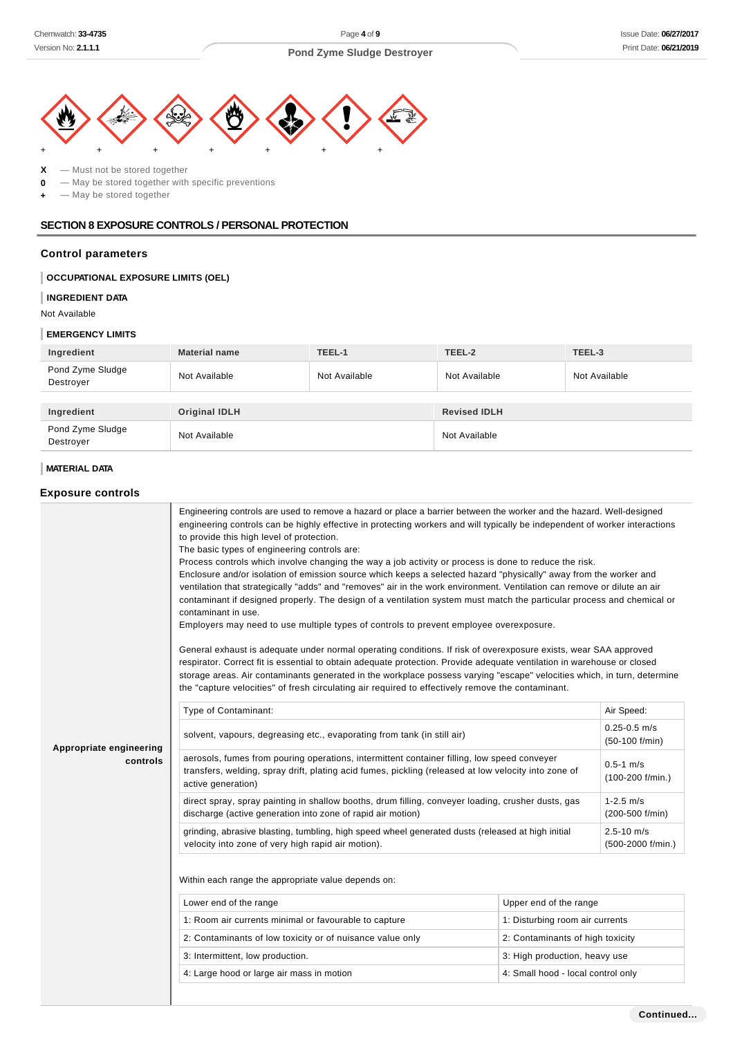

**X** — Must not be stored together **0** — May be stored together with specific preventions

**+** — May be stored together

## **SECTION 8 EXPOSURE CONTROLS / PERSONAL PROTECTION**

# **Control parameters**

# **OCCUPATIONAL EXPOSURE LIMITS (OEL)**

#### **INGREDIENT DATA**

Not Available

# **EMERGENCY LIMITS**

| Ingredient                    | <b>Material name</b> | TEEL-1        | TEEL-2              | TEEL-3        |
|-------------------------------|----------------------|---------------|---------------------|---------------|
| Pond Zyme Sludge<br>Destroyer | Not Available        | Not Available | Not Available       | Not Available |
|                               |                      |               |                     |               |
| Ingredient                    | <b>Original IDLH</b> |               | <b>Revised IDLH</b> |               |
| Pond Zyme Sludge<br>Destroyer | Not Available        |               | Not Available       |               |

# **MATERIAL DATA**

### **Exposure controls**

|                                     | Engineering controls are used to remove a hazard or place a barrier between the worker and the hazard. Well-designed<br>engineering controls can be highly effective in protecting workers and will typically be independent of worker interactions<br>to provide this high level of protection.<br>The basic types of engineering controls are:<br>Process controls which involve changing the way a job activity or process is done to reduce the risk.<br>Enclosure and/or isolation of emission source which keeps a selected hazard "physically" away from the worker and<br>ventilation that strategically "adds" and "removes" air in the work environment. Ventilation can remove or dilute an air<br>contaminant if designed properly. The design of a ventilation system must match the particular process and chemical or<br>contaminant in use.<br>Employers may need to use multiple types of controls to prevent employee overexposure.<br>General exhaust is adequate under normal operating conditions. If risk of overexposure exists, wear SAA approved<br>respirator. Correct fit is essential to obtain adequate protection. Provide adequate ventilation in warehouse or closed<br>storage areas. Air contaminants generated in the workplace possess varying "escape" velocities which, in turn, determine<br>the "capture velocities" of fresh circulating air required to effectively remove the contaminant. |                                    |                                     |
|-------------------------------------|---------------------------------------------------------------------------------------------------------------------------------------------------------------------------------------------------------------------------------------------------------------------------------------------------------------------------------------------------------------------------------------------------------------------------------------------------------------------------------------------------------------------------------------------------------------------------------------------------------------------------------------------------------------------------------------------------------------------------------------------------------------------------------------------------------------------------------------------------------------------------------------------------------------------------------------------------------------------------------------------------------------------------------------------------------------------------------------------------------------------------------------------------------------------------------------------------------------------------------------------------------------------------------------------------------------------------------------------------------------------------------------------------------------------------------------|------------------------------------|-------------------------------------|
|                                     | Type of Contaminant:<br>Air Speed:                                                                                                                                                                                                                                                                                                                                                                                                                                                                                                                                                                                                                                                                                                                                                                                                                                                                                                                                                                                                                                                                                                                                                                                                                                                                                                                                                                                                    |                                    |                                     |
| Appropriate engineering<br>controls | solvent, vapours, degreasing etc., evaporating from tank (in still air)                                                                                                                                                                                                                                                                                                                                                                                                                                                                                                                                                                                                                                                                                                                                                                                                                                                                                                                                                                                                                                                                                                                                                                                                                                                                                                                                                               | $0.25 - 0.5$ m/s<br>(50-100 f/min) |                                     |
|                                     | aerosols, fumes from pouring operations, intermittent container filling, low speed conveyer<br>$0.5 - 1$ m/s<br>transfers, welding, spray drift, plating acid fumes, pickling (released at low velocity into zone of<br>(100-200 f/min.)<br>active generation)                                                                                                                                                                                                                                                                                                                                                                                                                                                                                                                                                                                                                                                                                                                                                                                                                                                                                                                                                                                                                                                                                                                                                                        |                                    |                                     |
|                                     | direct spray, spray painting in shallow booths, drum filling, conveyer loading, crusher dusts, gas<br>$1 - 2.5$ m/s<br>discharge (active generation into zone of rapid air motion)<br>(200-500 f/min)                                                                                                                                                                                                                                                                                                                                                                                                                                                                                                                                                                                                                                                                                                                                                                                                                                                                                                                                                                                                                                                                                                                                                                                                                                 |                                    |                                     |
|                                     | grinding, abrasive blasting, tumbling, high speed wheel generated dusts (released at high initial<br>velocity into zone of very high rapid air motion).                                                                                                                                                                                                                                                                                                                                                                                                                                                                                                                                                                                                                                                                                                                                                                                                                                                                                                                                                                                                                                                                                                                                                                                                                                                                               |                                    | $2.5 - 10$ m/s<br>(500-2000 f/min.) |
|                                     | Within each range the appropriate value depends on:                                                                                                                                                                                                                                                                                                                                                                                                                                                                                                                                                                                                                                                                                                                                                                                                                                                                                                                                                                                                                                                                                                                                                                                                                                                                                                                                                                                   |                                    |                                     |
|                                     | Lower end of the range                                                                                                                                                                                                                                                                                                                                                                                                                                                                                                                                                                                                                                                                                                                                                                                                                                                                                                                                                                                                                                                                                                                                                                                                                                                                                                                                                                                                                | Upper end of the range             |                                     |
|                                     | 1: Room air currents minimal or favourable to capture                                                                                                                                                                                                                                                                                                                                                                                                                                                                                                                                                                                                                                                                                                                                                                                                                                                                                                                                                                                                                                                                                                                                                                                                                                                                                                                                                                                 | 1: Disturbing room air currents    |                                     |
|                                     | 2: Contaminants of low toxicity or of nuisance value only                                                                                                                                                                                                                                                                                                                                                                                                                                                                                                                                                                                                                                                                                                                                                                                                                                                                                                                                                                                                                                                                                                                                                                                                                                                                                                                                                                             | 2: Contaminants of high toxicity   |                                     |
|                                     | 3: Intermittent, low production.                                                                                                                                                                                                                                                                                                                                                                                                                                                                                                                                                                                                                                                                                                                                                                                                                                                                                                                                                                                                                                                                                                                                                                                                                                                                                                                                                                                                      | 3: High production, heavy use      |                                     |
|                                     | 4: Large hood or large air mass in motion                                                                                                                                                                                                                                                                                                                                                                                                                                                                                                                                                                                                                                                                                                                                                                                                                                                                                                                                                                                                                                                                                                                                                                                                                                                                                                                                                                                             | 4: Small hood - local control only |                                     |
|                                     |                                                                                                                                                                                                                                                                                                                                                                                                                                                                                                                                                                                                                                                                                                                                                                                                                                                                                                                                                                                                                                                                                                                                                                                                                                                                                                                                                                                                                                       |                                    |                                     |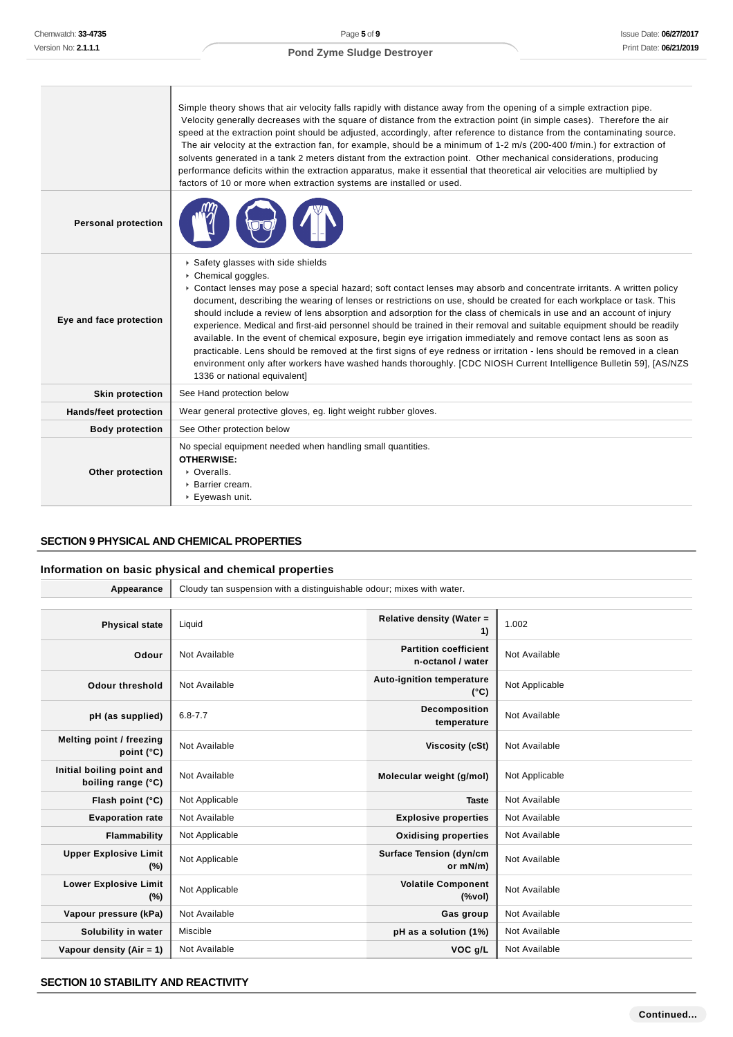|                            | Simple theory shows that air velocity falls rapidly with distance away from the opening of a simple extraction pipe.<br>Velocity generally decreases with the square of distance from the extraction point (in simple cases). Therefore the air<br>speed at the extraction point should be adjusted, accordingly, after reference to distance from the contaminating source.<br>The air velocity at the extraction fan, for example, should be a minimum of 1-2 m/s (200-400 f/min.) for extraction of<br>solvents generated in a tank 2 meters distant from the extraction point. Other mechanical considerations, producing<br>performance deficits within the extraction apparatus, make it essential that theoretical air velocities are multiplied by<br>factors of 10 or more when extraction systems are installed or used.                                                                                                                                |
|----------------------------|-------------------------------------------------------------------------------------------------------------------------------------------------------------------------------------------------------------------------------------------------------------------------------------------------------------------------------------------------------------------------------------------------------------------------------------------------------------------------------------------------------------------------------------------------------------------------------------------------------------------------------------------------------------------------------------------------------------------------------------------------------------------------------------------------------------------------------------------------------------------------------------------------------------------------------------------------------------------|
| <b>Personal protection</b> |                                                                                                                                                                                                                                                                                                                                                                                                                                                                                                                                                                                                                                                                                                                                                                                                                                                                                                                                                                   |
| Eye and face protection    | Safety glasses with side shields<br>Chemical goggles.<br>► Contact lenses may pose a special hazard; soft contact lenses may absorb and concentrate irritants. A written policy<br>document, describing the wearing of lenses or restrictions on use, should be created for each workplace or task. This<br>should include a review of lens absorption and adsorption for the class of chemicals in use and an account of injury<br>experience. Medical and first-aid personnel should be trained in their removal and suitable equipment should be readily<br>available. In the event of chemical exposure, begin eye irrigation immediately and remove contact lens as soon as<br>practicable. Lens should be removed at the first signs of eye redness or irritation - lens should be removed in a clean<br>environment only after workers have washed hands thoroughly. [CDC NIOSH Current Intelligence Bulletin 59], [AS/NZS<br>1336 or national equivalent] |
| <b>Skin protection</b>     | See Hand protection below                                                                                                                                                                                                                                                                                                                                                                                                                                                                                                                                                                                                                                                                                                                                                                                                                                                                                                                                         |
| Hands/feet protection      | Wear general protective gloves, eg. light weight rubber gloves.                                                                                                                                                                                                                                                                                                                                                                                                                                                                                                                                                                                                                                                                                                                                                                                                                                                                                                   |
| <b>Body protection</b>     | See Other protection below                                                                                                                                                                                                                                                                                                                                                                                                                                                                                                                                                                                                                                                                                                                                                                                                                                                                                                                                        |
| Other protection           | No special equipment needed when handling small quantities.<br><b>OTHERWISE:</b><br>• Overalls.<br>▶ Barrier cream.<br>▶ Eyewash unit.                                                                                                                                                                                                                                                                                                                                                                                                                                                                                                                                                                                                                                                                                                                                                                                                                            |

# **SECTION 9 PHYSICAL AND CHEMICAL PROPERTIES**

### **Information on basic physical and chemical properties**

| Appearance                                      | Cloudy tan suspension with a distinguishable odour; mixes with water. |                                                                               |                |
|-------------------------------------------------|-----------------------------------------------------------------------|-------------------------------------------------------------------------------|----------------|
|                                                 |                                                                       |                                                                               |                |
| <b>Physical state</b>                           | Liquid                                                                | Relative density (Water =<br>1)                                               | 1.002          |
| Odour                                           | Not Available                                                         | <b>Partition coefficient</b><br>n-octanol / water                             | Not Available  |
| <b>Odour threshold</b>                          | Not Available                                                         | Auto-ignition temperature<br>$(^{\circ}C)$                                    | Not Applicable |
| pH (as supplied)                                | $6.8 - 7.7$                                                           | Decomposition<br>temperature                                                  | Not Available  |
| Melting point / freezing<br>point $(^{\circ}C)$ | Not Available                                                         | <b>Viscosity (cSt)</b>                                                        | Not Available  |
| Initial boiling point and<br>boiling range (°C) | Not Available                                                         | Molecular weight (g/mol)                                                      | Not Applicable |
| Flash point (°C)                                | Not Applicable                                                        | <b>Taste</b>                                                                  | Not Available  |
| <b>Evaporation rate</b>                         | Not Available                                                         | <b>Explosive properties</b>                                                   | Not Available  |
| Flammability                                    | Not Applicable                                                        | <b>Oxidising properties</b>                                                   | Not Available  |
| <b>Upper Explosive Limit</b><br>(%)             | Not Applicable                                                        | <b>Surface Tension (dyn/cm</b><br>or mN/m)                                    | Not Available  |
| <b>Lower Explosive Limit</b><br>(%)             | Not Applicable                                                        | <b>Volatile Component</b><br>$(% \mathcal{L}^{\prime }\mathcal{N}^{\prime })$ | Not Available  |
| Vapour pressure (kPa)                           | Not Available                                                         | Gas group                                                                     | Not Available  |
| Solubility in water                             | Miscible                                                              | pH as a solution (1%)                                                         | Not Available  |
| Vapour density (Air = $1$ )                     | Not Available                                                         | VOC g/L                                                                       | Not Available  |

# **SECTION 10 STABILITY AND REACTIVITY**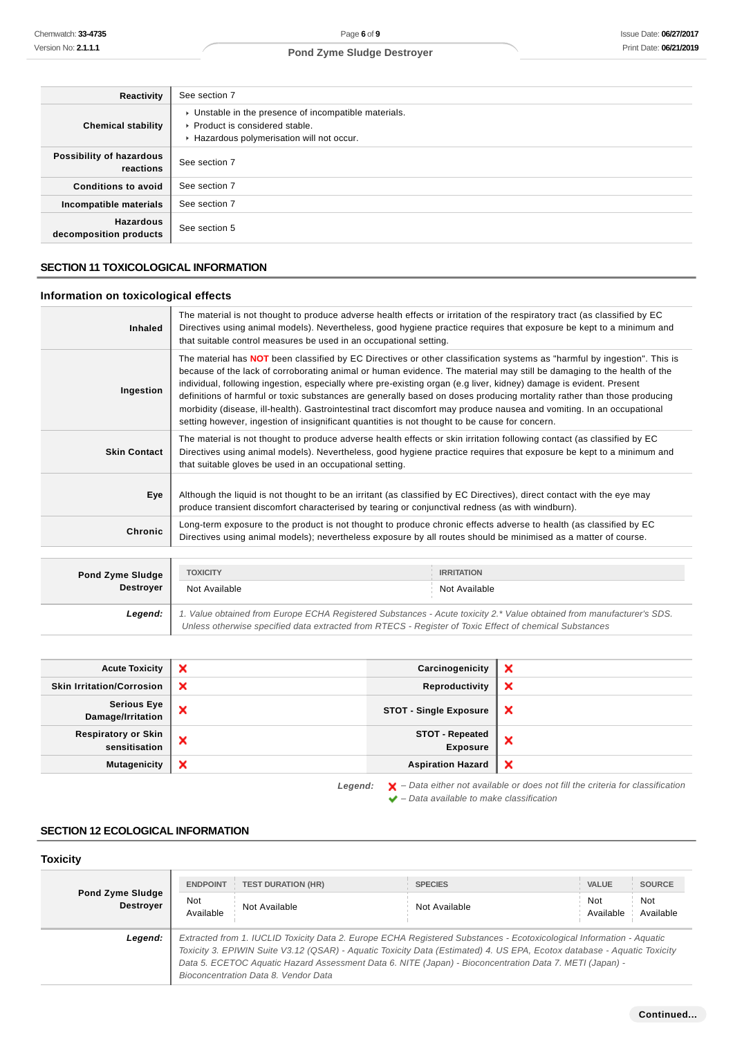| Reactivity                                 | See section 7                                                                                                                        |
|--------------------------------------------|--------------------------------------------------------------------------------------------------------------------------------------|
| <b>Chemical stability</b>                  | • Unstable in the presence of incompatible materials.<br>▶ Product is considered stable.<br>Hazardous polymerisation will not occur. |
| Possibility of hazardous<br>reactions      | See section 7                                                                                                                        |
| <b>Conditions to avoid</b>                 | See section 7                                                                                                                        |
| Incompatible materials                     | See section 7                                                                                                                        |
| <b>Hazardous</b><br>decomposition products | See section 5                                                                                                                        |

# **SECTION 11 TOXICOLOGICAL INFORMATION**

# **Information on toxicological effects**

| Inhaled             | The material is not thought to produce adverse health effects or irritation of the respiratory tract (as classified by EC<br>Directives using animal models). Nevertheless, good hygiene practice requires that exposure be kept to a minimum and<br>that suitable control measures be used in an occupational setting.                                                                                                                                                                                                                                                                                                                                                                                                          |
|---------------------|----------------------------------------------------------------------------------------------------------------------------------------------------------------------------------------------------------------------------------------------------------------------------------------------------------------------------------------------------------------------------------------------------------------------------------------------------------------------------------------------------------------------------------------------------------------------------------------------------------------------------------------------------------------------------------------------------------------------------------|
| Ingestion           | The material has NOT been classified by EC Directives or other classification systems as "harmful by ingestion". This is<br>because of the lack of corroborating animal or human evidence. The material may still be damaging to the health of the<br>individual, following ingestion, especially where pre-existing organ (e.g liver, kidney) damage is evident. Present<br>definitions of harmful or toxic substances are generally based on doses producing mortality rather than those producing<br>morbidity (disease, ill-health). Gastrointestinal tract discomfort may produce nausea and vomiting. In an occupational<br>setting however, ingestion of insignificant quantities is not thought to be cause for concern. |
| <b>Skin Contact</b> | The material is not thought to produce adverse health effects or skin irritation following contact (as classified by EC<br>Directives using animal models). Nevertheless, good hygiene practice requires that exposure be kept to a minimum and<br>that suitable gloves be used in an occupational setting.                                                                                                                                                                                                                                                                                                                                                                                                                      |
| Eye                 | Although the liquid is not thought to be an irritant (as classified by EC Directives), direct contact with the eye may<br>produce transient discomfort characterised by tearing or conjunctival redness (as with windburn).                                                                                                                                                                                                                                                                                                                                                                                                                                                                                                      |
| <b>Chronic</b>      | Long-term exposure to the product is not thought to produce chronic effects adverse to health (as classified by EC<br>Directives using animal models); nevertheless exposure by all routes should be minimised as a matter of course.                                                                                                                                                                                                                                                                                                                                                                                                                                                                                            |

| <b>Pond Zyme Sludge</b> | <b>TOXICITY</b>                                                                                                                                                                                                                 | <b>IRRITATION</b> |  |
|-------------------------|---------------------------------------------------------------------------------------------------------------------------------------------------------------------------------------------------------------------------------|-------------------|--|
| <b>Destroyer</b>        | Not Available                                                                                                                                                                                                                   | Not Available     |  |
| Legend:                 | 1. Value obtained from Europe ECHA Registered Substances - Acute toxicity 2.* Value obtained from manufacturer's SDS.<br>Unless otherwise specified data extracted from RTECS - Register of Toxic Effect of chemical Substances |                   |  |

| <b>Acute Toxicity</b>                       | ×       | Carcinogenicity                    | ж                                                                                                  |
|---------------------------------------------|---------|------------------------------------|----------------------------------------------------------------------------------------------------|
| <b>Skin Irritation/Corrosion</b>            | ×       | Reproductivity                     | ×                                                                                                  |
| <b>Serious Eye</b><br>Damage/Irritation     | ×       | <b>STOT - Single Exposure</b>      | $\boldsymbol{\mathsf{x}}$                                                                          |
| <b>Respiratory or Skin</b><br>sensitisation | ×       | STOT - Repeated<br><b>Exposure</b> | ж                                                                                                  |
| <b>Mutagenicity</b>                         | ×       | <b>Aspiration Hazard</b>           | $\boldsymbol{\mathsf{x}}$                                                                          |
|                                             | Legend: |                                    | $\blacktriangleright$ - Data either not available or does not fill the criteria for classification |

 $\blacktriangleright$  – Data available to make classification

# **SECTION 12 ECOLOGICAL INFORMATION**

# **Toxicity**

|                                             | <b>ENDPOINT</b>                                                                                                                                                                                                                                                                                                                                                                                    | <b>TEST DURATION (HR)</b> | <b>SPECIES</b> | <b>VALUE</b>     | <b>SOURCE</b>    |
|---------------------------------------------|----------------------------------------------------------------------------------------------------------------------------------------------------------------------------------------------------------------------------------------------------------------------------------------------------------------------------------------------------------------------------------------------------|---------------------------|----------------|------------------|------------------|
| <b>Pond Zyme Sludge</b><br><b>Destrover</b> | Not<br>Available                                                                                                                                                                                                                                                                                                                                                                                   | Not Available             | Not Available  | Not<br>Available | Not<br>Available |
| Legend:                                     | Extracted from 1. IUCLID Toxicity Data 2. Europe ECHA Registered Substances - Ecotoxicological Information - Aquatic<br>Toxicity 3. EPIWIN Suite V3.12 (QSAR) - Aquatic Toxicity Data (Estimated) 4. US EPA, Ecotox database - Aquatic Toxicity<br>Data 5. ECETOC Aquatic Hazard Assessment Data 6. NITE (Japan) - Bioconcentration Data 7. METI (Japan) -<br>Bioconcentration Data 8. Vendor Data |                           |                |                  |                  |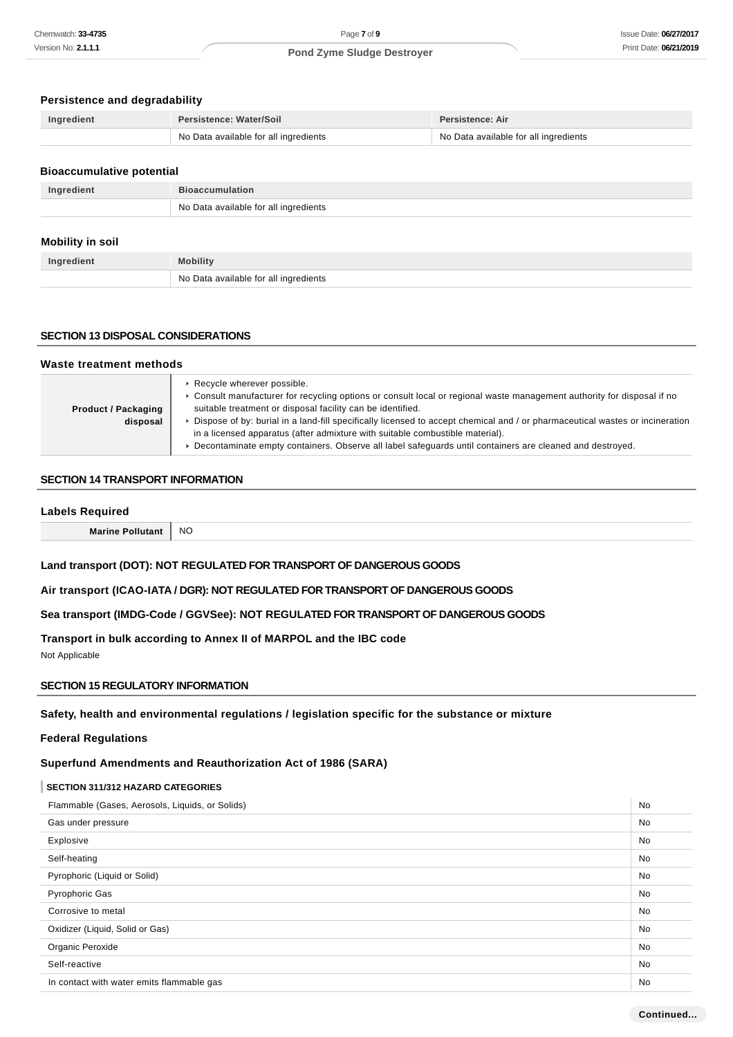# **Persistence and degradability**

| Ingredient | <b>Persistence: Water/Soil</b>        | Persistence: Air                      |
|------------|---------------------------------------|---------------------------------------|
|            | No Data available for all ingredients | No Data available for all ingredients |

#### **Bioaccumulative potential**

| Ingredient | <b>Bioaccumulation</b>                  |
|------------|-----------------------------------------|
|            | ↑ No Data available for all ingredients |

# **Mobility in soil**

| Ingredient | <b>Mobility</b>                       |
|------------|---------------------------------------|
|            | No Data available for all ingredients |

### **SECTION 13 DISPOSAL CONSIDERATIONS**

| Waste treatment methods                |                                                                                                                                                                                                                                                                                                                                                                                                                                                                                                                                                    |  |
|----------------------------------------|----------------------------------------------------------------------------------------------------------------------------------------------------------------------------------------------------------------------------------------------------------------------------------------------------------------------------------------------------------------------------------------------------------------------------------------------------------------------------------------------------------------------------------------------------|--|
| <b>Product / Packaging</b><br>disposal | ▶ Recycle wherever possible.<br>► Consult manufacturer for recycling options or consult local or regional waste management authority for disposal if no<br>suitable treatment or disposal facility can be identified.<br>Dispose of by: burial in a land-fill specifically licensed to accept chemical and / or pharmaceutical wastes or incineration<br>in a licensed apparatus (after admixture with suitable combustible material).<br>Decontaminate empty containers. Observe all label safeguards until containers are cleaned and destroyed. |  |

### **SECTION 14 TRANSPORT INFORMATION**

#### **Labels Required**

**Marine Pollutant** NO

# **Land transport (DOT): NOT REGULATED FOR TRANSPORT OF DANGEROUS GOODS**

**Air transport (ICAO-IATA / DGR): NOT REGULATED FOR TRANSPORT OF DANGEROUS GOODS**

**Sea transport (IMDG-Code / GGVSee): NOT REGULATED FOR TRANSPORT OF DANGEROUS GOODS**

**Transport in bulk according to Annex II of MARPOL and the IBC code**

Not Applicable

# **SECTION 15 REGULATORY INFORMATION**

**Safety, health and environmental regulations / legislation specific for the substance or mixture**

### **Federal Regulations**

**Superfund Amendments and Reauthorization Act of 1986 (SARA)**

# **SECTION 311/312 HAZARD CATEGORIES**

| Flammable (Gases, Aerosols, Liquids, or Solids) |           |
|-------------------------------------------------|-----------|
| Gas under pressure                              | <b>No</b> |
| Explosive                                       | No        |
| Self-heating                                    | No        |
| Pyrophoric (Liquid or Solid)                    | No        |
| <b>Pyrophoric Gas</b>                           | No        |
| Corrosive to metal                              | No        |
| Oxidizer (Liquid, Solid or Gas)                 | No.       |
| Organic Peroxide                                | No.       |
| Self-reactive                                   | No        |
| In contact with water emits flammable gas       | <b>No</b> |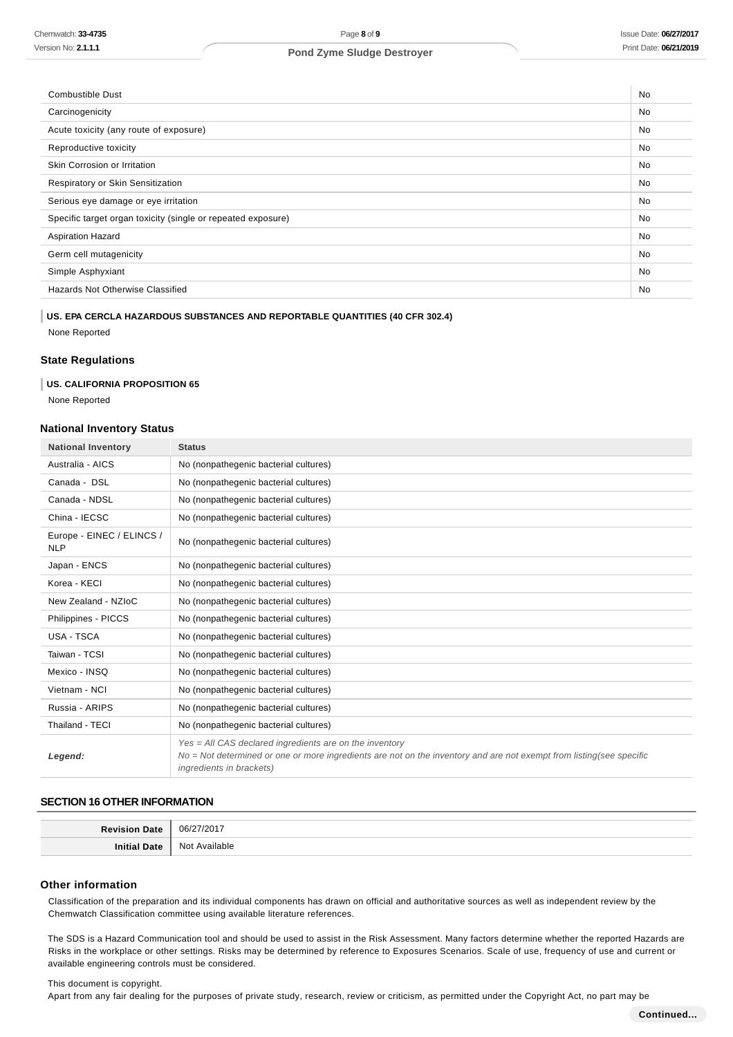| <b>Combustible Dust</b>                                      | <b>No</b> |
|--------------------------------------------------------------|-----------|
| Carcinogenicity                                              | No        |
| Acute toxicity (any route of exposure)                       | No.       |
| Reproductive toxicity                                        | No        |
| Skin Corrosion or Irritation                                 | No        |
| Respiratory or Skin Sensitization                            | <b>No</b> |
| Serious eye damage or eye irritation                         | <b>No</b> |
| Specific target organ toxicity (single or repeated exposure) |           |
| <b>Aspiration Hazard</b>                                     | No        |
| Germ cell mutagenicity                                       | <b>No</b> |
| Simple Asphyxiant                                            | <b>No</b> |
| Hazards Not Otherwise Classified                             |           |
|                                                              |           |

### **US. EPA CERCLA HAZARDOUS SUBSTANCES AND REPORTABLE QUANTITIES (40 CFR 302.4)**

None Reported

### **State Regulations**

### **US. CALIFORNIA PROPOSITION 65**

None Reported

# **National Inventory Status**

| <b>National Inventory</b>               | <b>Status</b>                                                                                                                                                                                                        |
|-----------------------------------------|----------------------------------------------------------------------------------------------------------------------------------------------------------------------------------------------------------------------|
| Australia - AICS                        | No (nonpathegenic bacterial cultures)                                                                                                                                                                                |
| Canada - DSL                            | No (nonpathegenic bacterial cultures)                                                                                                                                                                                |
| Canada - NDSL                           | No (nonpathegenic bacterial cultures)                                                                                                                                                                                |
| China - IECSC                           | No (nonpathegenic bacterial cultures)                                                                                                                                                                                |
| Europe - EINEC / ELINCS /<br><b>NLP</b> | No (nonpathegenic bacterial cultures)                                                                                                                                                                                |
| Japan - ENCS                            | No (nonpathegenic bacterial cultures)                                                                                                                                                                                |
| Korea - KECI                            | No (nonpathegenic bacterial cultures)                                                                                                                                                                                |
| New Zealand - NZIoC                     | No (nonpathegenic bacterial cultures)                                                                                                                                                                                |
| Philippines - PICCS                     | No (nonpathegenic bacterial cultures)                                                                                                                                                                                |
| USA - TSCA                              | No (nonpathegenic bacterial cultures)                                                                                                                                                                                |
| Taiwan - TCSI                           | No (nonpathegenic bacterial cultures)                                                                                                                                                                                |
| Mexico - INSQ                           | No (nonpathegenic bacterial cultures)                                                                                                                                                                                |
| Vietnam - NCI                           | No (nonpathegenic bacterial cultures)                                                                                                                                                                                |
| Russia - ARIPS                          | No (nonpathegenic bacterial cultures)                                                                                                                                                                                |
| Thailand - TECI                         | No (nonpathegenic bacterial cultures)                                                                                                                                                                                |
| Legend:                                 | $Yes = All CAS declared ingredients are on the inventory$<br>No = Not determined or one or more ingredients are not on the inventory and are not exempt from listing(see specific<br><i>ingredients in brackets)</i> |

## **SECTION 16 OTHER INFORMATION**

| D <sub>o</sub><br>115 | ിട്ടി            |
|-----------------------|------------------|
| ، : ۱۰۰               | Not<br>Available |

### **Other information**

Classification of the preparation and its individual components has drawn on official and authoritative sources as well as independent review by the Chemwatch Classification committee using available literature references.

The SDS is a Hazard Communication tool and should be used to assist in the Risk Assessment. Many factors determine whether the reported Hazards are Risks in the workplace or other settings. Risks may be determined by reference to Exposures Scenarios. Scale of use, frequency of use and current or available engineering controls must be considered.

#### This document is copyright.

Apart from any fair dealing for the purposes of private study, research, review or criticism, as permitted under the Copyright Act, no part may be